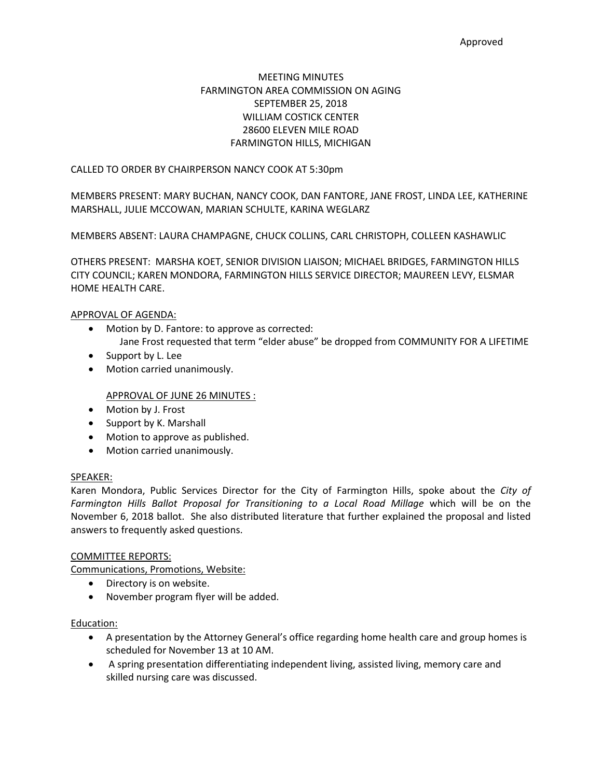# MEETING MINUTES FARMINGTON AREA COMMISSION ON AGING SEPTEMBER 25, 2018 WILLIAM COSTICK CENTER 28600 ELEVEN MILE ROAD FARMINGTON HILLS, MICHIGAN

## CALLED TO ORDER BY CHAIRPERSON NANCY COOK AT 5:30pm

MEMBERS PRESENT: MARY BUCHAN, NANCY COOK, DAN FANTORE, JANE FROST, LINDA LEE, KATHERINE MARSHALL, JULIE MCCOWAN, MARIAN SCHULTE, KARINA WEGLARZ

MEMBERS ABSENT: LAURA CHAMPAGNE, CHUCK COLLINS, CARL CHRISTOPH, COLLEEN KASHAWLIC

OTHERS PRESENT: MARSHA KOET, SENIOR DIVISION LIAISON; MICHAEL BRIDGES, FARMINGTON HILLS CITY COUNCIL; KAREN MONDORA, FARMINGTON HILLS SERVICE DIRECTOR; MAUREEN LEVY, ELSMAR HOME HEALTH CARE.

### APPROVAL OF AGENDA:

- Motion by D. Fantore: to approve as corrected:
	- Jane Frost requested that term "elder abuse" be dropped from COMMUNITY FOR A LIFETIME
- Support by L. Lee
- Motion carried unanimously.

## APPROVAL OF JUNE 26 MINUTES :

- Motion by J. Frost
- Support by K. Marshall
- Motion to approve as published.
- Motion carried unanimously.

#### SPEAKER:

Karen Mondora, Public Services Director for the City of Farmington Hills, spoke about the *City of Farmington Hills Ballot Proposal for Transitioning to a Local Road Millage* which will be on the November 6, 2018 ballot. She also distributed literature that further explained the proposal and listed answers to frequently asked questions.

## COMMITTEE REPORTS:

Communications, Promotions, Website:

- Directory is on website.
- November program flyer will be added.

## Education:

- A presentation by the Attorney General's office regarding home health care and group homes is scheduled for November 13 at 10 AM.
- A spring presentation differentiating independent living, assisted living, memory care and skilled nursing care was discussed.